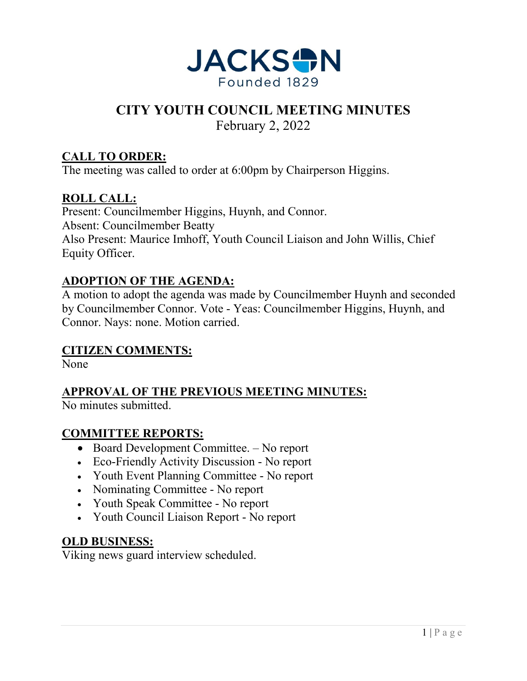

# **CITY YOUTH COUNCIL MEETING MINUTES**

February 2, 2022

### **CALL TO ORDER:**

The meeting was called to order at 6:00pm by Chairperson Higgins.

#### **ROLL CALL:**

Present: Councilmember Higgins, Huynh, and Connor. Absent: Councilmember Beatty Also Present: Maurice Imhoff, Youth Council Liaison and John Willis, Chief Equity Officer.

#### **ADOPTION OF THE AGENDA:**

A motion to adopt the agenda was made by Councilmember Huynh and seconded by Councilmember Connor. Vote - Yeas: Councilmember Higgins, Huynh, and Connor. Nays: none. Motion carried.

#### **CITIZEN COMMENTS:**

None

**APPROVAL OF THE PREVIOUS MEETING MINUTES:**

No minutes submitted.

#### **COMMITTEE REPORTS:**

- Board Development Committee. No report
- Eco-Friendly Activity Discussion No report
- Youth Event Planning Committee No report
- Nominating Committee No report
- Youth Speak Committee No report
- Youth Council Liaison Report No report

#### **OLD BUSINESS:**

Viking news guard interview scheduled.